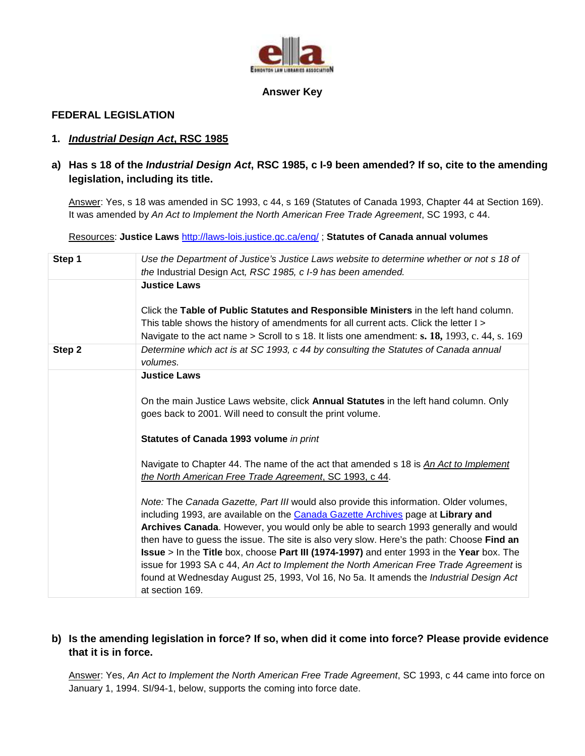

#### **Answer Key**

## **FEDERAL LEGISLATION**

## **1. Industrial Design Act, RSC 1985**

# **a) Has s 18 of the Industrial Design Act, RSC 1985, c I-9 been amended? If so, cite to the amending legislation, including its title.**

Answer: Yes, s 18 was amended in SC 1993, c 44, s 169 (Statutes of Canada 1993, Chapter 44 at Section 169). It was amended by An Act to Implement the North American Free Trade Agreement, SC 1993, c 44.

Resources: **Justice Laws** http://laws-lois.justice.gc.ca/eng/ ; **Statutes of Canada annual volumes** 

| Step 1 | Use the Department of Justice's Justice Laws website to determine whether or not s 18 of<br>the Industrial Design Act, RSC 1985, c I-9 has been amended.                                                                                                                                                                                                                                                                                                                                                                                                                                                                                                                  |
|--------|---------------------------------------------------------------------------------------------------------------------------------------------------------------------------------------------------------------------------------------------------------------------------------------------------------------------------------------------------------------------------------------------------------------------------------------------------------------------------------------------------------------------------------------------------------------------------------------------------------------------------------------------------------------------------|
|        | <b>Justice Laws</b>                                                                                                                                                                                                                                                                                                                                                                                                                                                                                                                                                                                                                                                       |
|        | Click the Table of Public Statutes and Responsible Ministers in the left hand column.<br>This table shows the history of amendments for all current acts. Click the letter I ><br>Navigate to the act name > Scroll to s 18. It lists one amendment: s. 18, 1993, c. 44, s. 169                                                                                                                                                                                                                                                                                                                                                                                           |
| Step 2 | Determine which act is at SC 1993, c 44 by consulting the Statutes of Canada annual<br>volumes.                                                                                                                                                                                                                                                                                                                                                                                                                                                                                                                                                                           |
|        | <b>Justice Laws</b>                                                                                                                                                                                                                                                                                                                                                                                                                                                                                                                                                                                                                                                       |
|        | On the main Justice Laws website, click <b>Annual Statutes</b> in the left hand column. Only<br>goes back to 2001. Will need to consult the print volume.                                                                                                                                                                                                                                                                                                                                                                                                                                                                                                                 |
|        | Statutes of Canada 1993 volume in print                                                                                                                                                                                                                                                                                                                                                                                                                                                                                                                                                                                                                                   |
|        | Navigate to Chapter 44. The name of the act that amended s 18 is An Act to Implement<br>the North American Free Trade Agreement, SC 1993, c 44.                                                                                                                                                                                                                                                                                                                                                                                                                                                                                                                           |
|        | Note: The Canada Gazette, Part III would also provide this information. Older volumes,<br>including 1993, are available on the Canada Gazette Archives page at Library and<br>Archives Canada. However, you would only be able to search 1993 generally and would<br>then have to guess the issue. The site is also very slow. Here's the path: Choose Find an<br><b>Issue</b> > In the Title box, choose Part III (1974-1997) and enter 1993 in the Year box. The<br>issue for 1993 SA c 44, An Act to Implement the North American Free Trade Agreement is<br>found at Wednesday August 25, 1993, Vol 16, No 5a. It amends the Industrial Design Act<br>at section 169. |

# **b) Is the amending legislation in force? If so, when did it come into force? Please provide evidence that it is in force.**

Answer: Yes, An Act to Implement the North American Free Trade Agreement, SC 1993, c 44 came into force on January 1, 1994. SI/94-1, below, supports the coming into force date.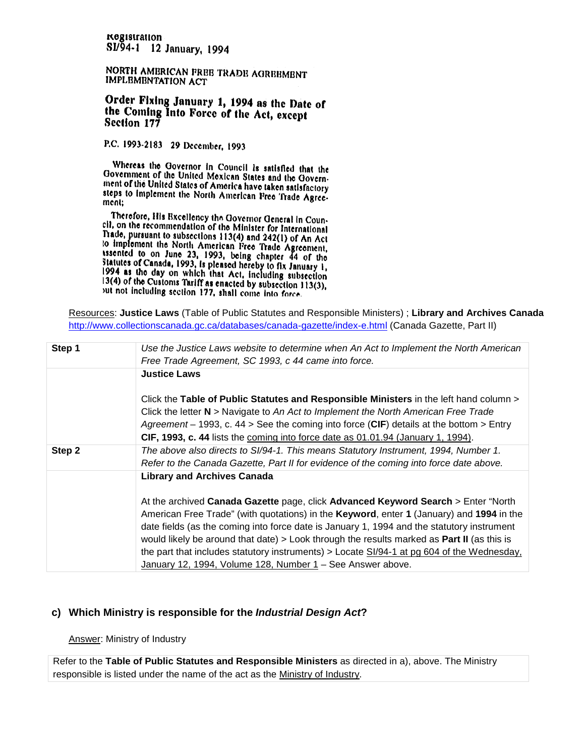registration S1/94-1 12 January, 1994

NORTH AMBRICAN FREE TRADE AGREEMENT **IMPLEMENTATION ACT** 

## Order Fixing January 1, 1994 as the Date of the Coming Into Force of the Act, except Section 177

P.C. 1993-2183 29 December, 1993

Whereas the Governor in Council is satisfied that the Government of the United Moxican States and the Governnext of the United States of America have taken satisfactory steps to implement the North American Free Trade Agreement:

Therefore, His Excellency the Governor General in Coun-The commendation of the Minister for International<br>That is in the recommendation of the Minister for International Trade, pursuant to subsections 113(4) and 242(1) of An Act Frace, pursuant to subsections  $113(4)$  and  $242(1)$  of An Act<br>to implement the North American Free Trade Agreement,<br>ssented to on June 23, 1993, being chapter 44 of the<br>statutes of Canada, 1993, is pleased hereby to fix 1994 as the day on which that Act, including subsection 13(4) of the Customs Tariff as enacted by subsection 113(3), out not including section 177, shall come into force.

Resources: **Justice Laws** (Table of Public Statutes and Responsible Ministers) ; **Library and Archives Canada**  http://www.collectionscanada.gc.ca/databases/canada-gazette/index-e.html (Canada Gazette, Part II)

| Step 1 | Use the Justice Laws website to determine when An Act to Implement the North American<br>Free Trade Agreement, SC 1993, c 44 came into force.                                                                                                                                                                                                                                                                                                                                                                                                                                         |
|--------|---------------------------------------------------------------------------------------------------------------------------------------------------------------------------------------------------------------------------------------------------------------------------------------------------------------------------------------------------------------------------------------------------------------------------------------------------------------------------------------------------------------------------------------------------------------------------------------|
|        | <b>Justice Laws</b><br>Click the Table of Public Statutes and Responsible Ministers in the left hand column >                                                                                                                                                                                                                                                                                                                                                                                                                                                                         |
|        | Click the letter $N >$ Navigate to An Act to Implement the North American Free Trade<br>Agreement – 1993, c. 44 > See the coming into force (CIF) details at the bottom > Entry<br>CIF, 1993, c. 44 lists the coming into force date as 01.01.94 (January 1, 1994).                                                                                                                                                                                                                                                                                                                   |
| Step 2 | The above also directs to SI/94-1. This means Statutory Instrument, 1994, Number 1.<br>Refer to the Canada Gazette, Part II for evidence of the coming into force date above.                                                                                                                                                                                                                                                                                                                                                                                                         |
|        | <b>Library and Archives Canada</b><br>At the archived Canada Gazette page, click Advanced Keyword Search > Enter "North"<br>American Free Trade" (with quotations) in the Keyword, enter 1 (January) and 1994 in the<br>date fields (as the coming into force date is January 1, 1994 and the statutory instrument<br>would likely be around that date) $>$ Look through the results marked as <b>Part II</b> (as this is<br>the part that includes statutory instruments) > Locate SI/94-1 at pg 604 of the Wednesday,<br>January 12, 1994, Volume 128, Number 1 - See Answer above. |

### **c) Which Ministry is responsible for the Industrial Design Act?**

Answer: Ministry of Industry

Refer to the **Table of Public Statutes and Responsible Ministers** as directed in a), above. The Ministry responsible is listed under the name of the act as the Ministry of Industry.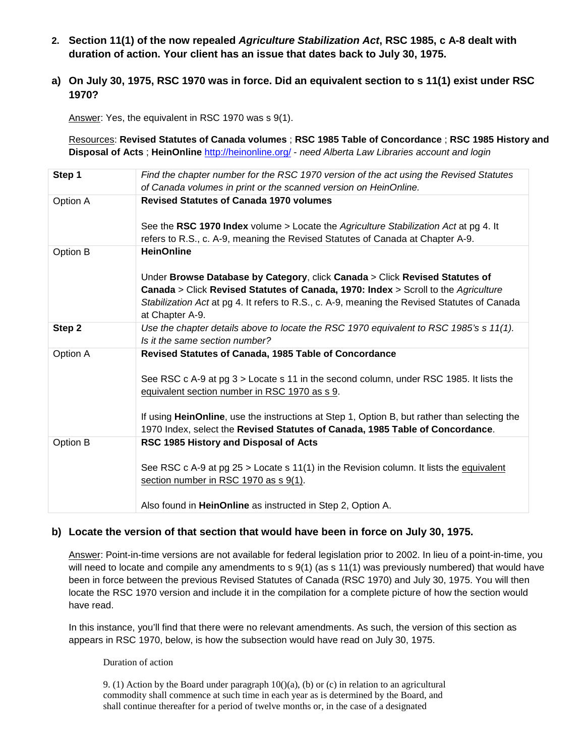- **2. Section 11(1) of the now repealed Agriculture Stabilization Act, RSC 1985, c A-8 dealt with duration of action. Your client has an issue that dates back to July 30, 1975.**
- **a) On July 30, 1975, RSC 1970 was in force. Did an equivalent section to s 11(1) exist under RSC 1970?**

Answer: Yes, the equivalent in RSC 1970 was s 9(1).

Resources: **Revised Statutes of Canada volumes** ; **RSC 1985 Table of Concordance** ; **RSC 1985 History and Disposal of Acts** ; **HeinOnline** http://heinonline.org/ - need Alberta Law Libraries account and login

| Step 1   | Find the chapter number for the RSC 1970 version of the act using the Revised Statutes<br>of Canada volumes in print or the scanned version on HeinOnline.                                                                                                                                                                                                                        |
|----------|-----------------------------------------------------------------------------------------------------------------------------------------------------------------------------------------------------------------------------------------------------------------------------------------------------------------------------------------------------------------------------------|
| Option A | <b>Revised Statutes of Canada 1970 volumes</b><br>See the RSC 1970 Index volume > Locate the Agriculture Stabilization Act at pg 4. It<br>refers to R.S., c. A-9, meaning the Revised Statutes of Canada at Chapter A-9.                                                                                                                                                          |
| Option B | <b>HeinOnline</b><br>Under Browse Database by Category, click Canada > Click Revised Statutes of<br>Canada > Click Revised Statutes of Canada, 1970: Index > Scroll to the Agriculture<br>Stabilization Act at pg 4. It refers to R.S., c. A-9, meaning the Revised Statutes of Canada<br>at Chapter A-9.                                                                         |
| Step 2   | Use the chapter details above to locate the RSC 1970 equivalent to RSC 1985's s 11(1).<br>Is it the same section number?                                                                                                                                                                                                                                                          |
| Option A | Revised Statutes of Canada, 1985 Table of Concordance<br>See RSC c A-9 at pg 3 > Locate s 11 in the second column, under RSC 1985. It lists the<br>equivalent section number in RSC 1970 as s 9.<br>If using HeinOnline, use the instructions at Step 1, Option B, but rather than selecting the<br>1970 Index, select the Revised Statutes of Canada, 1985 Table of Concordance. |
| Option B | RSC 1985 History and Disposal of Acts<br>See RSC c A-9 at pg 25 > Locate s 11(1) in the Revision column. It lists the equivalent<br>section number in RSC 1970 as s 9(1).<br>Also found in HeinOnline as instructed in Step 2, Option A.                                                                                                                                          |

### **b) Locate the version of that section that would have been in force on July 30, 1975.**

Answer: Point-in-time versions are not available for federal legislation prior to 2002. In lieu of a point-in-time, you will need to locate and compile any amendments to s 9(1) (as s 11(1) was previously numbered) that would have been in force between the previous Revised Statutes of Canada (RSC 1970) and July 30, 1975. You will then locate the RSC 1970 version and include it in the compilation for a complete picture of how the section would have read.

In this instance, you'll find that there were no relevant amendments. As such, the version of this section as appears in RSC 1970, below, is how the subsection would have read on July 30, 1975.

#### Duration of action

9. (1) Action by the Board under paragraph  $10((a), (b)$  or (c) in relation to an agricultural commodity shall commence at such time in each year as is determined by the Board, and shall continue thereafter for a period of twelve months or, in the case of a designated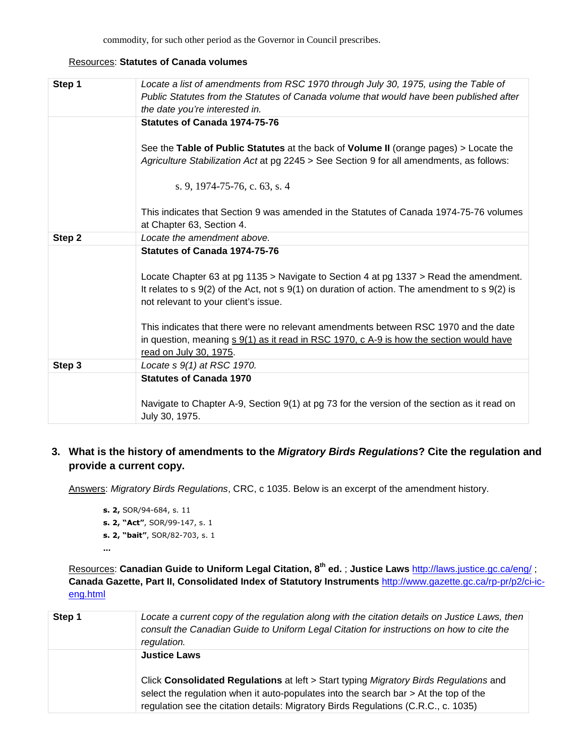commodity, for such other period as the Governor in Council prescribes.

#### Resources: **Statutes of Canada volumes**

| Step 1 | Locate a list of amendments from RSC 1970 through July 30, 1975, using the Table of<br>Public Statutes from the Statutes of Canada volume that would have been published after<br>the date you're interested in.                                    |
|--------|-----------------------------------------------------------------------------------------------------------------------------------------------------------------------------------------------------------------------------------------------------|
|        | Statutes of Canada 1974-75-76                                                                                                                                                                                                                       |
|        | See the Table of Public Statutes at the back of Volume II (orange pages) > Locate the<br>Agriculture Stabilization Act at pg 2245 > See Section 9 for all amendments, as follows:                                                                   |
|        | s. 9, 1974-75-76, c. 63, s. 4                                                                                                                                                                                                                       |
|        | This indicates that Section 9 was amended in the Statutes of Canada 1974-75-76 volumes<br>at Chapter 63, Section 4.                                                                                                                                 |
| Step 2 | Locate the amendment above.                                                                                                                                                                                                                         |
|        | Statutes of Canada 1974-75-76                                                                                                                                                                                                                       |
|        | Locate Chapter 63 at pg 1135 > Navigate to Section 4 at pg 1337 > Read the amendment.<br>It relates to $s \theta(2)$ of the Act, not $s \theta(1)$ on duration of action. The amendment to $s \theta(2)$ is<br>not relevant to your client's issue. |
|        | This indicates that there were no relevant amendments between RSC 1970 and the date<br>in question, meaning $s \cdot 9(1)$ as it read in RSC 1970, c A-9 is how the section would have<br>read on July 30, 1975.                                    |
| Step 3 | Locate s 9(1) at RSC 1970.                                                                                                                                                                                                                          |
|        | <b>Statutes of Canada 1970</b>                                                                                                                                                                                                                      |
|        | Navigate to Chapter A-9, Section 9(1) at pg 73 for the version of the section as it read on<br>July 30, 1975.                                                                                                                                       |

# **3. What is the history of amendments to the Migratory Birds Regulations? Cite the regulation and provide a current copy.**

Answers: Migratory Birds Regulations, CRC, c 1035. Below is an excerpt of the amendment history.

**s. 2,** SOR/94-684, s. 11 **s. 2, "Act"**, SOR/99-147, s. 1 **s. 2, "bait"**, SOR/82-703, s. 1

**…**

Resources: **Canadian Guide to Uniform Legal Citation, 8th ed.** ; **Justice Laws** http://laws.justice.gc.ca/eng/ ; **Canada Gazette, Part II, Consolidated Index of Statutory Instruments** http://www.gazette.gc.ca/rp-pr/p2/ci-iceng.html

| Step 1 | Locate a current copy of the regulation along with the citation details on Justice Laws, then<br>consult the Canadian Guide to Uniform Legal Citation for instructions on how to cite the<br>regulation.                                                                                     |
|--------|----------------------------------------------------------------------------------------------------------------------------------------------------------------------------------------------------------------------------------------------------------------------------------------------|
|        | <b>Justice Laws</b><br>Click Consolidated Regulations at left > Start typing Migratory Birds Regulations and<br>select the regulation when it auto-populates into the search bar $>$ At the top of the<br>regulation see the citation details: Migratory Birds Regulations (C.R.C., c. 1035) |